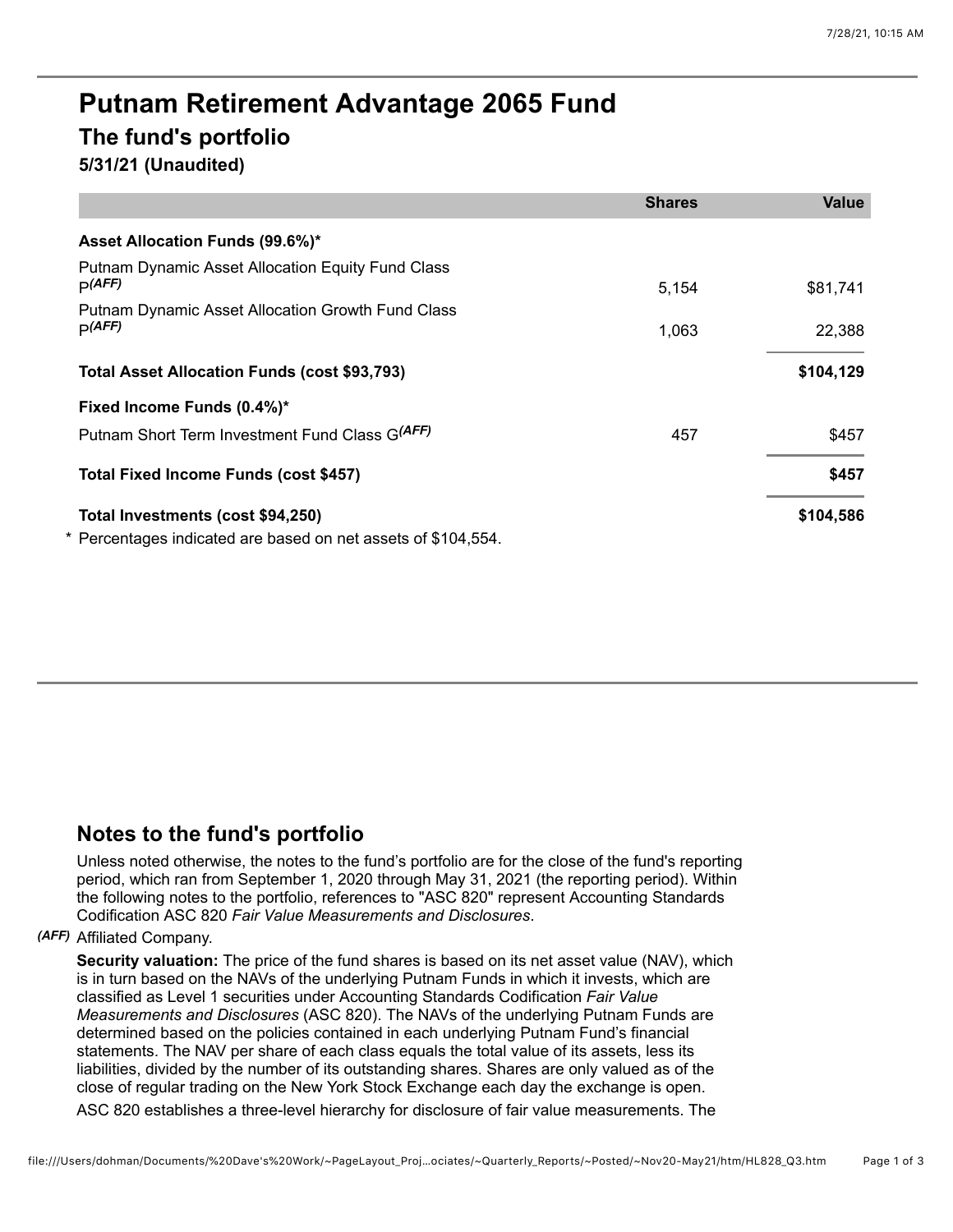# **Putnam Retirement Advantage 2065 Fund The fund's portfolio 5/31/21 (Unaudited)**

|                                                                    | <b>Shares</b> | <b>Value</b> |
|--------------------------------------------------------------------|---------------|--------------|
| Asset Allocation Funds (99.6%)*                                    |               |              |
| <b>Putnam Dynamic Asset Allocation Equity Fund Class</b><br>p(AFF) | 5,154         | \$81,741     |
| Putnam Dynamic Asset Allocation Growth Fund Class<br>p(AFF)        | 1,063         | 22,388       |
| <b>Total Asset Allocation Funds (cost \$93,793)</b>                |               | \$104,129    |
| Fixed Income Funds (0.4%)*                                         |               |              |
| Putnam Short Term Investment Fund Class G(AFF)                     | 457           | \$457        |
| Total Fixed Income Funds (cost \$457)                              |               | \$457        |
| Total Investments (cost \$94,250)                                  |               | \$104,586    |
| * Percentages indicated are based on net assets of \$104,554.      |               |              |

# **Notes to the fund's portfolio**

Unless noted otherwise, the notes to the fund's portfolio are for the close of the fund's reporting period, which ran from September 1, 2020 through May 31, 2021 (the reporting period). Within the following notes to the portfolio, references to "ASC 820" represent Accounting Standards Codification ASC 820 *Fair Value Measurements and Disclosures*.

## *(AFF)* Affiliated Company.

**Security valuation:** The price of the fund shares is based on its net asset value (NAV), which is in turn based on the NAVs of the underlying Putnam Funds in which it invests, which are classified as Level 1 securities under Accounting Standards Codification *Fair Value Measurements and Disclosures* (ASC 820). The NAVs of the underlying Putnam Funds are determined based on the policies contained in each underlying Putnam Fund's financial statements. The NAV per share of each class equals the total value of its assets, less its liabilities, divided by the number of its outstanding shares. Shares are only valued as of the close of regular trading on the New York Stock Exchange each day the exchange is open. ASC 820 establishes a three-level hierarchy for disclosure of fair value measurements. The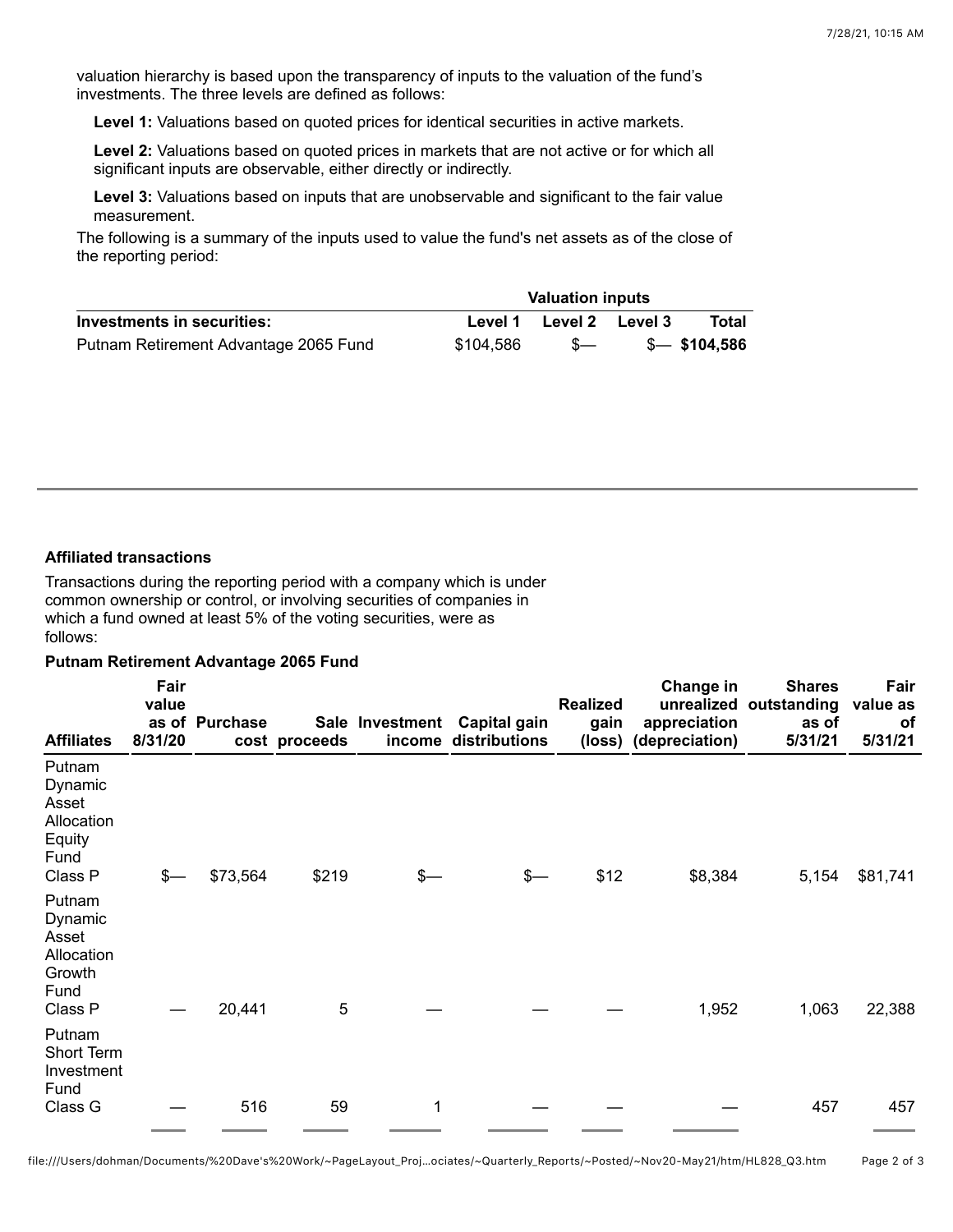valuation hierarchy is based upon the transparency of inputs to the valuation of the fund's investments. The three levels are defined as follows:

**Level 1:** Valuations based on quoted prices for identical securities in active markets.

**Level 2:** Valuations based on quoted prices in markets that are not active or for which all significant inputs are observable, either directly or indirectly.

**Level 3:** Valuations based on inputs that are unobservable and significant to the fair value measurement.

The following is a summary of the inputs used to value the fund's net assets as of the close of the reporting period:

|                                       | <b>Valuation inputs</b> |                 |  |               |  |
|---------------------------------------|-------------------------|-----------------|--|---------------|--|
| Investments in securities:            | Level 1                 | Level 2 Level 3 |  | Total         |  |
| Putnam Retirement Advantage 2065 Fund | \$104,586               | - S—            |  | \$— \$104.586 |  |

### **Affiliated transactions**

Transactions during the reporting period with a company which is under common ownership or control, or involving securities of companies in which a fund owned at least 5% of the voting securities, were as follows:

#### **Putnam Retirement Advantage 2065 Fund**

| <b>Affiliates</b>                                                     | Fair<br>value<br>8/31/20 | as of Purchase | cost proceeds |      | Sale Investment Capital gain<br>income distributions | <b>Realized</b><br>gain | Change in<br>appreciation<br>(loss) (depreciation) | <b>Shares</b><br>unrealized outstanding<br>as of<br>5/31/21 | Fair<br>value as<br><b>of</b><br>5/31/21 |
|-----------------------------------------------------------------------|--------------------------|----------------|---------------|------|------------------------------------------------------|-------------------------|----------------------------------------------------|-------------------------------------------------------------|------------------------------------------|
| Putnam<br>Dynamic<br>Asset<br>Allocation<br>Equity<br>Fund<br>Class P | \$-                      | \$73,564       | \$219         | $s-$ | \$—                                                  | \$12                    | \$8,384                                            | 5,154                                                       | \$81,741                                 |
| Putnam<br>Dynamic<br>Asset<br>Allocation<br>Growth<br>Fund<br>Class P |                          | 20,441         | 5             |      |                                                      |                         | 1,952                                              | 1,063                                                       | 22,388                                   |
| Putnam<br>Short Term<br>Investment<br>Fund<br>Class G                 |                          | 516            | 59            | 1    |                                                      |                         |                                                    | 457                                                         | 457                                      |